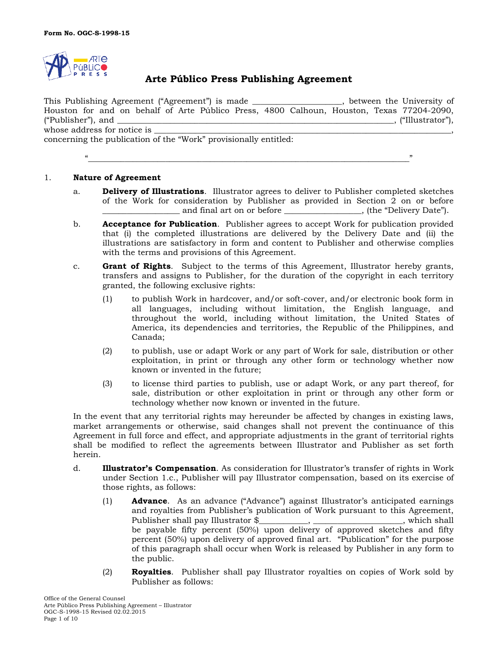

# **Arte Público Press Publishing Agreement**

This Publishing Agreement ("Agreement") is made \_\_\_\_\_\_\_\_\_\_\_\_\_\_\_\_\_\_\_\_\_\_, between the University of Houston for and on behalf of Arte Público Press, 4800 Calhoun, Houston, Texas 77204-2090, ("Publisher"), and  $\blacksquare$  and  $\blacksquare$  and  $\blacksquare$  and  $\blacksquare$  and  $\blacksquare$  and  $\blacksquare$  and  $\blacksquare$  and  $\blacksquare$  and  $\blacksquare$  and  $\blacksquare$  and  $\blacksquare$  and  $\blacksquare$  and  $\blacksquare$  and  $\blacksquare$  and  $\blacksquare$  and  $\blacksquare$  and  $\blacksquare$  and  $\blacksquare$  and  $\blacksquare$ whose address for notice is  $\_\_$ concerning the publication of the "Work" provisionally entitled:

"\_\_\_\_\_\_\_\_\_\_\_\_\_\_\_\_\_\_\_\_\_\_\_\_\_\_\_\_\_\_\_\_\_\_\_\_\_\_\_\_\_\_\_\_\_\_\_\_\_\_\_\_\_\_\_\_\_\_\_\_\_\_\_\_\_\_\_\_\_\_\_\_\_\_\_\_\_\_\_"

1. **Nature of Agreement**

- a. **Delivery of Illustrations**. Illustrator agrees to deliver to Publisher completed sketches of the Work for consideration by Publisher as provided in Section 2 on or before \_\_\_\_\_\_\_\_\_\_\_\_\_\_\_\_\_\_\_ and final art on or before \_\_\_\_\_\_\_\_\_\_\_\_\_\_\_\_\_\_\_, (the "Delivery Date").
- b. **Acceptance for Publication**. Publisher agrees to accept Work for publication provided that (i) the completed illustrations are delivered by the Delivery Date and (ii) the illustrations are satisfactory in form and content to Publisher and otherwise complies with the terms and provisions of this Agreement.
- c. **Grant of Rights**. Subject to the terms of this Agreement, Illustrator hereby grants, transfers and assigns to Publisher, for the duration of the copyright in each territory granted, the following exclusive rights:
	- (1) to publish Work in hardcover, and/or soft-cover, and/or electronic book form in all languages, including without limitation, the English language, and throughout the world, including without limitation, the United States of America, its dependencies and territories, the Republic of the Philippines, and Canada;
	- (2) to publish, use or adapt Work or any part of Work for sale, distribution or other exploitation, in print or through any other form or technology whether now known or invented in the future;
	- (3) to license third parties to publish, use or adapt Work, or any part thereof, for sale, distribution or other exploitation in print or through any other form or technology whether now known or invented in the future.

In the event that any territorial rights may hereunder be affected by changes in existing laws, market arrangements or otherwise, said changes shall not prevent the continuance of this Agreement in full force and effect, and appropriate adjustments in the grant of territorial rights shall be modified to reflect the agreements between Illustrator and Publisher as set forth herein.

- d. **Illustrator's Compensation**. As consideration for Illustrator's transfer of rights in Work under Section 1.c., Publisher will pay Illustrator compensation, based on its exercise of those rights, as follows:
	- (1) **Advance**. As an advance ("Advance") against Illustrator's anticipated earnings and royalties from Publisher's publication of Work pursuant to this Agreement, Publisher shall pay Illustrator \$\_\_\_\_\_\_\_\_\_\_\_\_, \_\_\_\_\_\_\_\_\_\_\_\_\_\_\_\_\_\_\_\_\_\_, which shall be payable fifty percent (50%) upon delivery of approved sketches and fifty percent (50%) upon delivery of approved final art. "Publication" for the purpose of this paragraph shall occur when Work is released by Publisher in any form to the public.
	- (2) **Royalties**. Publisher shall pay Illustrator royalties on copies of Work sold by Publisher as follows: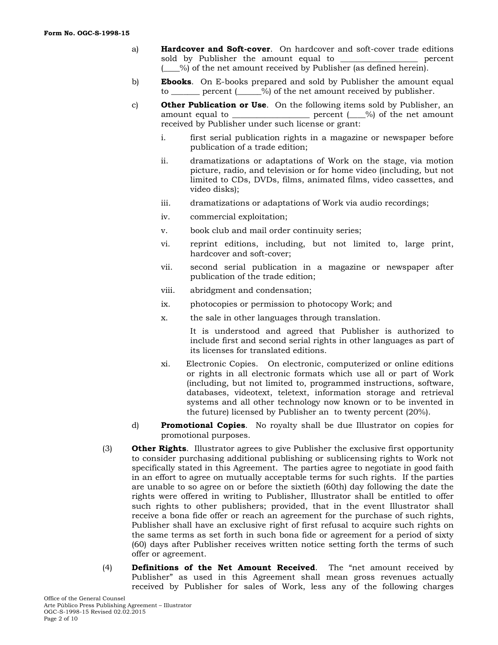- a) **Hardcover and Soft-cover**. On hardcover and soft-cover trade editions sold by Publisher the amount equal to **Example 2** percent (\_\_\_\_%) of the net amount received by Publisher (as defined herein).
- b) **Ebooks**. On E-books prepared and sold by Publisher the amount equal to be percent ( $\frac{\%}{\%}$  of the net amount received by publisher.
- c) **Other Publication or Use**. On the following items sold by Publisher, an amount equal to \_\_\_\_\_\_\_\_\_\_\_\_\_\_\_\_\_\_\_\_\_ percent  $(\_\_\%)$  of the net amount received by Publisher under such license or grant:
	- i. first serial publication rights in a magazine or newspaper before publication of a trade edition;
	- ii. dramatizations or adaptations of Work on the stage, via motion picture, radio, and television or for home video (including, but not limited to CDs, DVDs, films, animated films, video cassettes, and video disks);
	- iii. dramatizations or adaptations of Work via audio recordings;
	- iv. commercial exploitation;
	- v. book club and mail order continuity series;
	- vi. reprint editions, including, but not limited to, large print, hardcover and soft-cover;
	- vii. second serial publication in a magazine or newspaper after publication of the trade edition;
	- viii. abridgment and condensation;
	- ix. photocopies or permission to photocopy Work; and
	- x. the sale in other languages through translation.

It is understood and agreed that Publisher is authorized to include first and second serial rights in other languages as part of its licenses for translated editions.

- xi. Electronic Copies. On electronic, computerized or online editions or rights in all electronic formats which use all or part of Work (including, but not limited to, programmed instructions, software, databases, videotext, teletext, information storage and retrieval systems and all other technology now known or to be invented in the future) licensed by Publisher an to twenty percent (20%).
- d) **Promotional Copies**. No royalty shall be due Illustrator on copies for promotional purposes.
- (3) **Other Rights**. Illustrator agrees to give Publisher the exclusive first opportunity to consider purchasing additional publishing or sublicensing rights to Work not specifically stated in this Agreement. The parties agree to negotiate in good faith in an effort to agree on mutually acceptable terms for such rights. If the parties are unable to so agree on or before the sixtieth (60th) day following the date the rights were offered in writing to Publisher, Illustrator shall be entitled to offer such rights to other publishers; provided, that in the event Illustrator shall receive a bona fide offer or reach an agreement for the purchase of such rights, Publisher shall have an exclusive right of first refusal to acquire such rights on the same terms as set forth in such bona fide or agreement for a period of sixty (60) days after Publisher receives written notice setting forth the terms of such offer or agreement.
- (4) **Definitions of the Net Amount Received**. The "net amount received by Publisher" as used in this Agreement shall mean gross revenues actually received by Publisher for sales of Work, less any of the following charges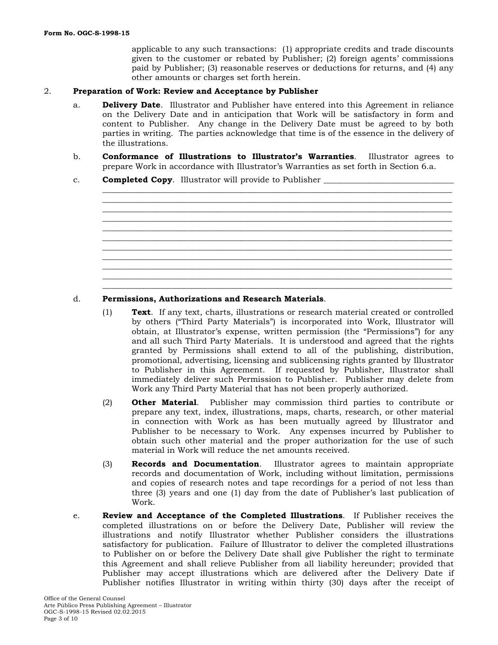applicable to any such transactions: (1) appropriate credits and trade discounts given to the customer or rebated by Publisher; (2) foreign agents' commissions paid by Publisher; (3) reasonable reserves or deductions for returns, and (4) any other amounts or charges set forth herein.

#### 2. **Preparation of Work: Review and Acceptance by Publisher**

- a. **Delivery Date**. Illustrator and Publisher have entered into this Agreement in reliance on the Delivery Date and in anticipation that Work will be satisfactory in form and content to Publisher. Any change in the Delivery Date must be agreed to by both parties in writing. The parties acknowledge that time is of the essence in the delivery of the illustrations.
- b. **Conformance of Illustrations to Illustrator's Warranties**. Illustrator agrees to prepare Work in accordance with Illustrator's Warranties as set forth in Section 6.a.
- c. **Completed Copy**. Illustrator will provide to Publisher



#### d. **Permissions, Authorizations and Research Materials**.

- (1) **Text**. If any text, charts, illustrations or research material created or controlled by others ("Third Party Materials") is incorporated into Work, Illustrator will obtain, at Illustrator's expense, written permission (the "Permissions") for any and all such Third Party Materials. It is understood and agreed that the rights granted by Permissions shall extend to all of the publishing, distribution, promotional, advertising, licensing and sublicensing rights granted by Illustrator to Publisher in this Agreement. If requested by Publisher, Illustrator shall immediately deliver such Permission to Publisher. Publisher may delete from Work any Third Party Material that has not been properly authorized.
- (2) **Other Material**. Publisher may commission third parties to contribute or prepare any text, index, illustrations, maps, charts, research, or other material in connection with Work as has been mutually agreed by Illustrator and Publisher to be necessary to Work. Any expenses incurred by Publisher to obtain such other material and the proper authorization for the use of such material in Work will reduce the net amounts received.
- (3) **Records and Documentation**. Illustrator agrees to maintain appropriate records and documentation of Work, including without limitation, permissions and copies of research notes and tape recordings for a period of not less than three (3) years and one (1) day from the date of Publisher's last publication of Work.
- e. **Review and Acceptance of the Completed Illustrations**. If Publisher receives the completed illustrations on or before the Delivery Date, Publisher will review the illustrations and notify Illustrator whether Publisher considers the illustrations satisfactory for publication. Failure of Illustrator to deliver the completed illustrations to Publisher on or before the Delivery Date shall give Publisher the right to terminate this Agreement and shall relieve Publisher from all liability hereunder; provided that Publisher may accept illustrations which are delivered after the Delivery Date if Publisher notifies Illustrator in writing within thirty (30) days after the receipt of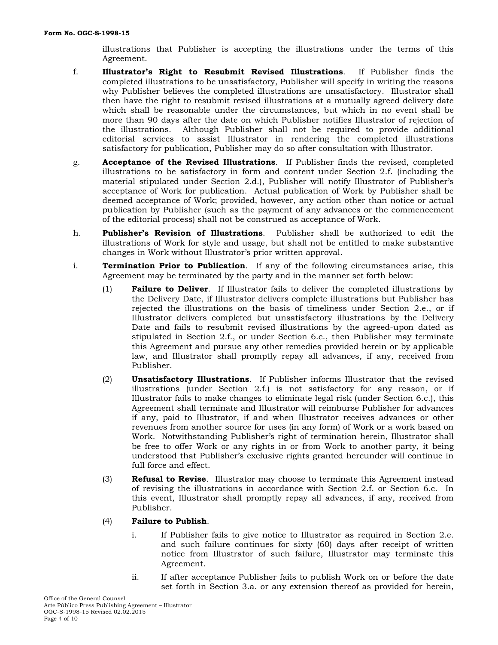illustrations that Publisher is accepting the illustrations under the terms of this Agreement.

- f. **Illustrator's Right to Resubmit Revised Illustrations**. If Publisher finds the completed illustrations to be unsatisfactory, Publisher will specify in writing the reasons why Publisher believes the completed illustrations are unsatisfactory. Illustrator shall then have the right to resubmit revised illustrations at a mutually agreed delivery date which shall be reasonable under the circumstances, but which in no event shall be more than 90 days after the date on which Publisher notifies Illustrator of rejection of the illustrations. Although Publisher shall not be required to provide additional editorial services to assist Illustrator in rendering the completed illustrations satisfactory for publication, Publisher may do so after consultation with Illustrator.
- g. **Acceptance of the Revised Illustrations**. If Publisher finds the revised, completed illustrations to be satisfactory in form and content under Section 2.f. (including the material stipulated under Section 2.d.), Publisher will notify Illustrator of Publisher's acceptance of Work for publication. Actual publication of Work by Publisher shall be deemed acceptance of Work; provided, however, any action other than notice or actual publication by Publisher (such as the payment of any advances or the commencement of the editorial process) shall not be construed as acceptance of Work.
- h. **Publisher's Revision of Illustrations**. Publisher shall be authorized to edit the illustrations of Work for style and usage, but shall not be entitled to make substantive changes in Work without Illustrator's prior written approval.
- i. **Termination Prior to Publication**. If any of the following circumstances arise, this Agreement may be terminated by the party and in the manner set forth below:
	- (1) **Failure to Deliver**. If Illustrator fails to deliver the completed illustrations by the Delivery Date, if Illustrator delivers complete illustrations but Publisher has rejected the illustrations on the basis of timeliness under Section 2.e., or if Illustrator delivers completed but unsatisfactory illustrations by the Delivery Date and fails to resubmit revised illustrations by the agreed-upon dated as stipulated in Section 2.f., or under Section 6.c., then Publisher may terminate this Agreement and pursue any other remedies provided herein or by applicable law, and Illustrator shall promptly repay all advances, if any, received from Publisher.
	- (2) **Unsatisfactory Illustrations**. If Publisher informs Illustrator that the revised illustrations (under Section 2.f.) is not satisfactory for any reason, or if Illustrator fails to make changes to eliminate legal risk (under Section 6.c.), this Agreement shall terminate and Illustrator will reimburse Publisher for advances if any, paid to Illustrator, if and when Illustrator receives advances or other revenues from another source for uses (in any form) of Work or a work based on Work. Notwithstanding Publisher's right of termination herein, Illustrator shall be free to offer Work or any rights in or from Work to another party, it being understood that Publisher's exclusive rights granted hereunder will continue in full force and effect.
	- (3) **Refusal to Revise**. Illustrator may choose to terminate this Agreement instead of revising the illustrations in accordance with Section 2.f. or Section 6.c. In this event, Illustrator shall promptly repay all advances, if any, received from Publisher.
	- (4) **Failure to Publish**.
		- i. If Publisher fails to give notice to Illustrator as required in Section 2.e. and such failure continues for sixty (60) days after receipt of written notice from Illustrator of such failure, Illustrator may terminate this Agreement.
		- ii. If after acceptance Publisher fails to publish Work on or before the date set forth in Section 3.a. or any extension thereof as provided for herein,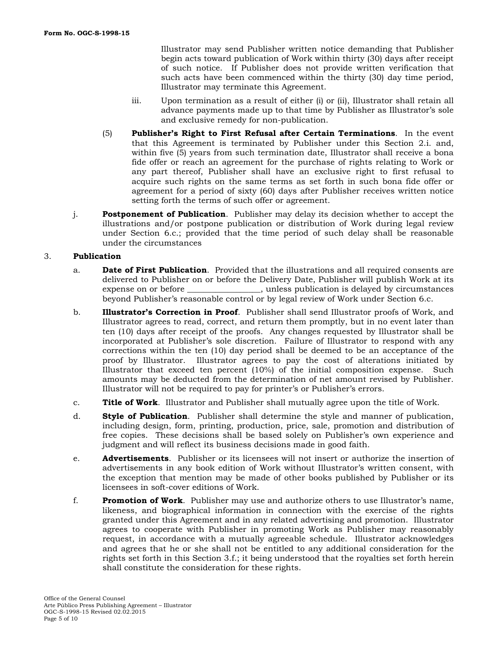Illustrator may send Publisher written notice demanding that Publisher begin acts toward publication of Work within thirty (30) days after receipt of such notice. If Publisher does not provide written verification that such acts have been commenced within the thirty (30) day time period, Illustrator may terminate this Agreement.

- iii. Upon termination as a result of either (i) or (ii), Illustrator shall retain all advance payments made up to that time by Publisher as Illustrator's sole and exclusive remedy for non-publication.
- (5) **Publisher's Right to First Refusal after Certain Terminations**. In the event that this Agreement is terminated by Publisher under this Section 2.i. and, within five (5) years from such termination date, Illustrator shall receive a bona fide offer or reach an agreement for the purchase of rights relating to Work or any part thereof, Publisher shall have an exclusive right to first refusal to acquire such rights on the same terms as set forth in such bona fide offer or agreement for a period of sixty (60) days after Publisher receives written notice setting forth the terms of such offer or agreement.
- j. **Postponement of Publication**. Publisher may delay its decision whether to accept the illustrations and/or postpone publication or distribution of Work during legal review under Section 6.c.; provided that the time period of such delay shall be reasonable under the circumstances

### 3. **Publication**

- a. **Date of First Publication**. Provided that the illustrations and all required consents are delivered to Publisher on or before the Delivery Date, Publisher will publish Work at its expense on or before \_\_\_\_\_\_\_\_\_\_\_\_\_\_\_\_\_\_, unless publication is delayed by circumstances beyond Publisher's reasonable control or by legal review of Work under Section 6.c.
- b. **Illustrator's Correction in Proof**. Publisher shall send Illustrator proofs of Work, and Illustrator agrees to read, correct, and return them promptly, but in no event later than ten (10) days after receipt of the proofs. Any changes requested by Illustrator shall be incorporated at Publisher's sole discretion. Failure of Illustrator to respond with any corrections within the ten (10) day period shall be deemed to be an acceptance of the proof by Illustrator. Illustrator agrees to pay the cost of alterations initiated by Illustrator that exceed ten percent (10%) of the initial composition expense. Such amounts may be deducted from the determination of net amount revised by Publisher. Illustrator will not be required to pay for printer's or Publisher's errors.
- c. **Title of Work**. Illustrator and Publisher shall mutually agree upon the title of Work.
- d. **Style of Publication**. Publisher shall determine the style and manner of publication, including design, form, printing, production, price, sale, promotion and distribution of free copies. These decisions shall be based solely on Publisher's own experience and judgment and will reflect its business decisions made in good faith.
- e. **Advertisements**. Publisher or its licensees will not insert or authorize the insertion of advertisements in any book edition of Work without Illustrator's written consent, with the exception that mention may be made of other books published by Publisher or its licensees in soft-cover editions of Work.
- f. **Promotion of Work**. Publisher may use and authorize others to use Illustrator's name, likeness, and biographical information in connection with the exercise of the rights granted under this Agreement and in any related advertising and promotion. Illustrator agrees to cooperate with Publisher in promoting Work as Publisher may reasonably request, in accordance with a mutually agreeable schedule. Illustrator acknowledges and agrees that he or she shall not be entitled to any additional consideration for the rights set forth in this Section 3.f.; it being understood that the royalties set forth herein shall constitute the consideration for these rights.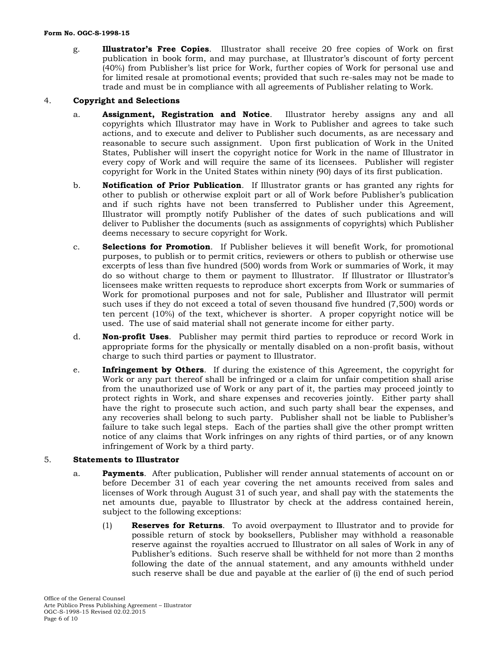g. **Illustrator's Free Copies**. Illustrator shall receive 20 free copies of Work on first publication in book form, and may purchase, at Illustrator's discount of forty percent (40%) from Publisher's list price for Work, further copies of Work for personal use and for limited resale at promotional events; provided that such re-sales may not be made to trade and must be in compliance with all agreements of Publisher relating to Work.

### 4. **Copyright and Selections**

- a. **Assignment, Registration and Notice**. Illustrator hereby assigns any and all copyrights which Illustrator may have in Work to Publisher and agrees to take such actions, and to execute and deliver to Publisher such documents, as are necessary and reasonable to secure such assignment. Upon first publication of Work in the United States, Publisher will insert the copyright notice for Work in the name of Illustrator in every copy of Work and will require the same of its licensees. Publisher will register copyright for Work in the United States within ninety (90) days of its first publication.
- b. **Notification of Prior Publication**. If Illustrator grants or has granted any rights for other to publish or otherwise exploit part or all of Work before Publisher's publication and if such rights have not been transferred to Publisher under this Agreement, Illustrator will promptly notify Publisher of the dates of such publications and will deliver to Publisher the documents (such as assignments of copyrights) which Publisher deems necessary to secure copyright for Work.
- c. **Selections for Promotion**. If Publisher believes it will benefit Work, for promotional purposes, to publish or to permit critics, reviewers or others to publish or otherwise use excerpts of less than five hundred (500) words from Work or summaries of Work, it may do so without charge to them or payment to Illustrator. If Illustrator or Illustrator's licensees make written requests to reproduce short excerpts from Work or summaries of Work for promotional purposes and not for sale, Publisher and Illustrator will permit such uses if they do not exceed a total of seven thousand five hundred (7,500) words or ten percent (10%) of the text, whichever is shorter. A proper copyright notice will be used. The use of said material shall not generate income for either party.
- d. **Non-profit Uses**. Publisher may permit third parties to reproduce or record Work in appropriate forms for the physically or mentally disabled on a non-profit basis, without charge to such third parties or payment to Illustrator.
- e. **Infringement by Others**. If during the existence of this Agreement, the copyright for Work or any part thereof shall be infringed or a claim for unfair competition shall arise from the unauthorized use of Work or any part of it, the parties may proceed jointly to protect rights in Work, and share expenses and recoveries jointly. Either party shall have the right to prosecute such action, and such party shall bear the expenses, and any recoveries shall belong to such party. Publisher shall not be liable to Publisher's failure to take such legal steps. Each of the parties shall give the other prompt written notice of any claims that Work infringes on any rights of third parties, or of any known infringement of Work by a third party.

#### 5. **Statements to Illustrator**

- a. **Payments**. After publication, Publisher will render annual statements of account on or before December 31 of each year covering the net amounts received from sales and licenses of Work through August 31 of such year, and shall pay with the statements the net amounts due, payable to Illustrator by check at the address contained herein, subject to the following exceptions:
	- (1) **Reserves for Returns**. To avoid overpayment to Illustrator and to provide for possible return of stock by booksellers, Publisher may withhold a reasonable reserve against the royalties accrued to Illustrator on all sales of Work in any of Publisher's editions. Such reserve shall be withheld for not more than 2 months following the date of the annual statement, and any amounts withheld under such reserve shall be due and payable at the earlier of (i) the end of such period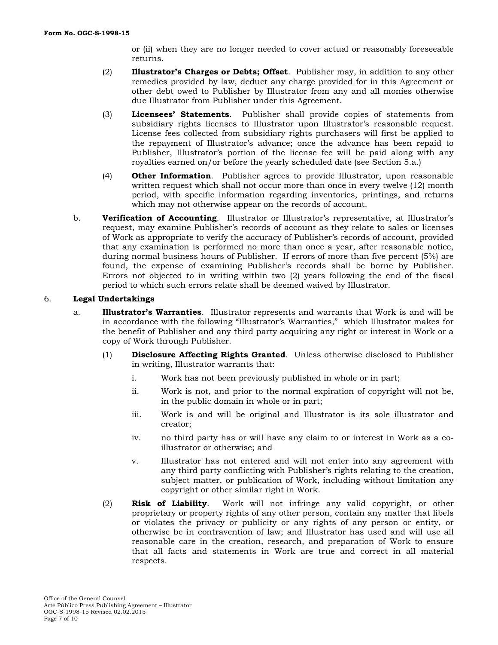or (ii) when they are no longer needed to cover actual or reasonably foreseeable returns.

- (2) **Illustrator's Charges or Debts; Offset**. Publisher may, in addition to any other remedies provided by law, deduct any charge provided for in this Agreement or other debt owed to Publisher by Illustrator from any and all monies otherwise due Illustrator from Publisher under this Agreement.
- (3) **Licensees' Statements**. Publisher shall provide copies of statements from subsidiary rights licenses to Illustrator upon Illustrator's reasonable request. License fees collected from subsidiary rights purchasers will first be applied to the repayment of Illustrator's advance; once the advance has been repaid to Publisher, Illustrator's portion of the license fee will be paid along with any royalties earned on/or before the yearly scheduled date (see Section 5.a.)
- (4) **Other Information**. Publisher agrees to provide Illustrator, upon reasonable written request which shall not occur more than once in every twelve (12) month period, with specific information regarding inventories, printings, and returns which may not otherwise appear on the records of account.
- b. **Verification of Accounting**. Illustrator or Illustrator's representative, at Illustrator's request, may examine Publisher's records of account as they relate to sales or licenses of Work as appropriate to verify the accuracy of Publisher's records of account, provided that any examination is performed no more than once a year, after reasonable notice, during normal business hours of Publisher. If errors of more than five percent (5%) are found, the expense of examining Publisher's records shall be borne by Publisher. Errors not objected to in writing within two (2) years following the end of the fiscal period to which such errors relate shall be deemed waived by Illustrator.

### 6. **Legal Undertakings**

- a. **Illustrator's Warranties**. Illustrator represents and warrants that Work is and will be in accordance with the following "Illustrator's Warranties," which Illustrator makes for the benefit of Publisher and any third party acquiring any right or interest in Work or a copy of Work through Publisher.
	- (1) **Disclosure Affecting Rights Granted**. Unless otherwise disclosed to Publisher in writing, Illustrator warrants that:
		- i. Work has not been previously published in whole or in part;
		- ii. Work is not, and prior to the normal expiration of copyright will not be, in the public domain in whole or in part;
		- iii. Work is and will be original and Illustrator is its sole illustrator and creator;
		- iv. no third party has or will have any claim to or interest in Work as a coillustrator or otherwise; and
		- v. Illustrator has not entered and will not enter into any agreement with any third party conflicting with Publisher's rights relating to the creation, subject matter, or publication of Work, including without limitation any copyright or other similar right in Work.
	- (2) **Risk of Liability**. Work will not infringe any valid copyright, or other proprietary or property rights of any other person, contain any matter that libels or violates the privacy or publicity or any rights of any person or entity, or otherwise be in contravention of law; and Illustrator has used and will use all reasonable care in the creation, research, and preparation of Work to ensure that all facts and statements in Work are true and correct in all material respects.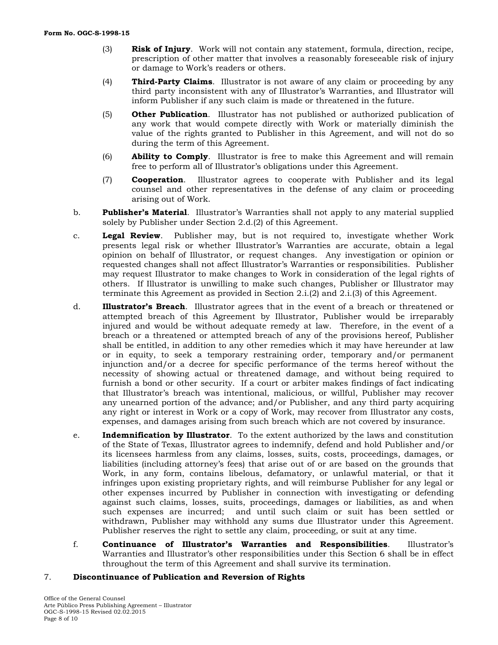- (3) **Risk of Injury**. Work will not contain any statement, formula, direction, recipe, prescription of other matter that involves a reasonably foreseeable risk of injury or damage to Work's readers or others.
- (4) **Third-Party Claims**. Illustrator is not aware of any claim or proceeding by any third party inconsistent with any of Illustrator's Warranties, and Illustrator will inform Publisher if any such claim is made or threatened in the future.
- (5) **Other Publication**. Illustrator has not published or authorized publication of any work that would compete directly with Work or materially diminish the value of the rights granted to Publisher in this Agreement, and will not do so during the term of this Agreement.
- (6) **Ability to Comply**. Illustrator is free to make this Agreement and will remain free to perform all of Illustrator's obligations under this Agreement.
- (7) **Cooperation**. Illustrator agrees to cooperate with Publisher and its legal counsel and other representatives in the defense of any claim or proceeding arising out of Work.
- b. **Publisher's Material**. Illustrator's Warranties shall not apply to any material supplied solely by Publisher under Section 2.d.(2) of this Agreement.
- c. **Legal Review**. Publisher may, but is not required to, investigate whether Work presents legal risk or whether Illustrator's Warranties are accurate, obtain a legal opinion on behalf of Illustrator, or request changes. Any investigation or opinion or requested changes shall not affect Illustrator's Warranties or responsibilities. Publisher may request Illustrator to make changes to Work in consideration of the legal rights of others. If Illustrator is unwilling to make such changes, Publisher or Illustrator may terminate this Agreement as provided in Section 2.i.(2) and 2.i.(3) of this Agreement.
- d. **Illustrator's Breach**. Illustrator agrees that in the event of a breach or threatened or attempted breach of this Agreement by Illustrator, Publisher would be irreparably injured and would be without adequate remedy at law. Therefore, in the event of a breach or a threatened or attempted breach of any of the provisions hereof, Publisher shall be entitled, in addition to any other remedies which it may have hereunder at law or in equity, to seek a temporary restraining order, temporary and/or permanent injunction and/or a decree for specific performance of the terms hereof without the necessity of showing actual or threatened damage, and without being required to furnish a bond or other security. If a court or arbiter makes findings of fact indicating that Illustrator's breach was intentional, malicious, or willful, Publisher may recover any unearned portion of the advance; and/or Publisher, and any third party acquiring any right or interest in Work or a copy of Work, may recover from Illustrator any costs, expenses, and damages arising from such breach which are not covered by insurance.
- e. **Indemnification by Illustrator**. To the extent authorized by the laws and constitution of the State of Texas, Illustrator agrees to indemnify, defend and hold Publisher and/or its licensees harmless from any claims, losses, suits, costs, proceedings, damages, or liabilities (including attorney's fees) that arise out of or are based on the grounds that Work, in any form, contains libelous, defamatory, or unlawful material, or that it infringes upon existing proprietary rights, and will reimburse Publisher for any legal or other expenses incurred by Publisher in connection with investigating or defending against such claims, losses, suits, proceedings, damages or liabilities, as and when such expenses are incurred; and until such claim or suit has been settled or withdrawn, Publisher may withhold any sums due Illustrator under this Agreement. Publisher reserves the right to settle any claim, proceeding, or suit at any time.
- f. **Continuance of Illustrator's Warranties and Responsibilities**. Illustrator's Warranties and Illustrator's other responsibilities under this Section 6 shall be in effect throughout the term of this Agreement and shall survive its termination.

#### 7. **Discontinuance of Publication and Reversion of Rights**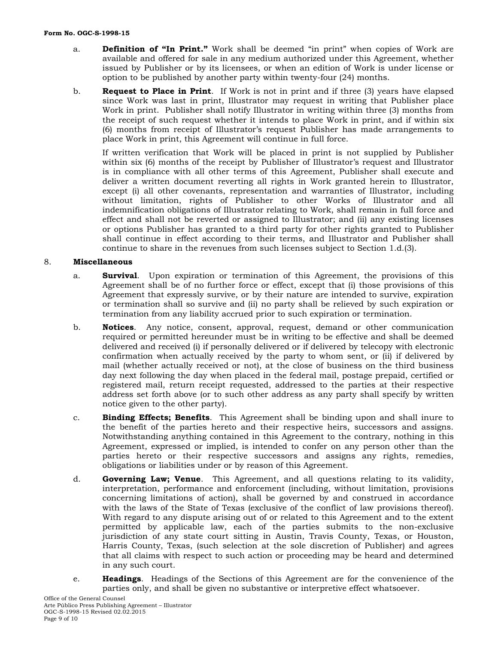- a. **Definition of "In Print."** Work shall be deemed "in print" when copies of Work are available and offered for sale in any medium authorized under this Agreement, whether issued by Publisher or by its licensees, or when an edition of Work is under license or option to be published by another party within twenty-four (24) months.
- b. **Request to Place in Print**. If Work is not in print and if three (3) years have elapsed since Work was last in print, Illustrator may request in writing that Publisher place Work in print. Publisher shall notify Illustrator in writing within three (3) months from the receipt of such request whether it intends to place Work in print, and if within six (6) months from receipt of Illustrator's request Publisher has made arrangements to place Work in print, this Agreement will continue in full force.

If written verification that Work will be placed in print is not supplied by Publisher within six (6) months of the receipt by Publisher of Illustrator's request and Illustrator is in compliance with all other terms of this Agreement, Publisher shall execute and deliver a written document reverting all rights in Work granted herein to Illustrator, except (i) all other covenants, representation and warranties of Illustrator, including without limitation, rights of Publisher to other Works of Illustrator and all indemnification obligations of Illustrator relating to Work, shall remain in full force and effect and shall not be reverted or assigned to Illustrator; and (ii) any existing licenses or options Publisher has granted to a third party for other rights granted to Publisher shall continue in effect according to their terms, and Illustrator and Publisher shall continue to share in the revenues from such licenses subject to Section 1.d.(3).

## 8. **Miscellaneous**

- a. **Survival**. Upon expiration or termination of this Agreement, the provisions of this Agreement shall be of no further force or effect, except that (i) those provisions of this Agreement that expressly survive, or by their nature are intended to survive, expiration or termination shall so survive and (ii) no party shall be relieved by such expiration or termination from any liability accrued prior to such expiration or termination.
- b. **Notices**. Any notice, consent, approval, request, demand or other communication required or permitted hereunder must be in writing to be effective and shall be deemed delivered and received (i) if personally delivered or if delivered by telecopy with electronic confirmation when actually received by the party to whom sent, or (ii) if delivered by mail (whether actually received or not), at the close of business on the third business day next following the day when placed in the federal mail, postage prepaid, certified or registered mail, return receipt requested, addressed to the parties at their respective address set forth above (or to such other address as any party shall specify by written notice given to the other party).
- c. **Binding Effects; Benefits**. This Agreement shall be binding upon and shall inure to the benefit of the parties hereto and their respective heirs, successors and assigns. Notwithstanding anything contained in this Agreement to the contrary, nothing in this Agreement, expressed or implied, is intended to confer on any person other than the parties hereto or their respective successors and assigns any rights, remedies, obligations or liabilities under or by reason of this Agreement.
- d. **Governing Law; Venue**. This Agreement, and all questions relating to its validity, interpretation, performance and enforcement (including, without limitation, provisions concerning limitations of action), shall be governed by and construed in accordance with the laws of the State of Texas (exclusive of the conflict of law provisions thereof). With regard to any dispute arising out of or related to this Agreement and to the extent permitted by applicable law, each of the parties submits to the non-exclusive jurisdiction of any state court sitting in Austin, Travis County, Texas, or Houston, Harris County, Texas, (such selection at the sole discretion of Publisher) and agrees that all claims with respect to such action or proceeding may be heard and determined in any such court.
- e. **Headings**. Headings of the Sections of this Agreement are for the convenience of the parties only, and shall be given no substantive or interpretive effect whatsoever.